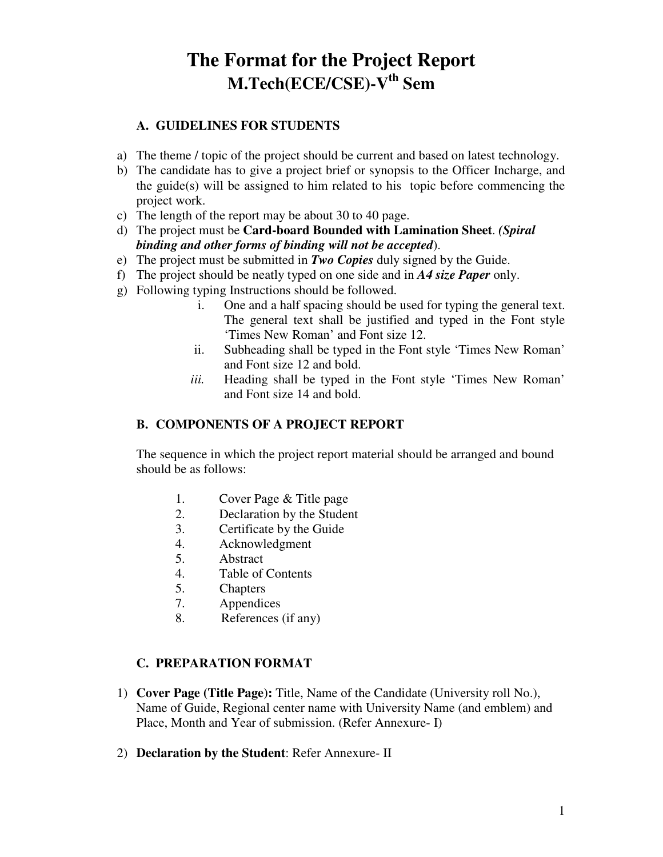# **The Format for the Project Report M.Tech(ECE/CSE)-Vth Sem**

#### **A. GUIDELINES FOR STUDENTS**

- a) The theme / topic of the project should be current and based on latest technology.
- b) The candidate has to give a project brief or synopsis to the Officer Incharge, and the guide(s) will be assigned to him related to his topic before commencing the project work.
- c) The length of the report may be about 30 to 40 page.
- d) The project must be **Card-board Bounded with Lamination Sheet**. *(Spiral binding and other forms of binding will not be accepted*).
- e) The project must be submitted in *Two Copies* duly signed by the Guide.
- f) The project should be neatly typed on one side and in *A4 size Paper* only.
- g) Following typing Instructions should be followed.
	- i. One and a half spacing should be used for typing the general text. The general text shall be justified and typed in the Font style 'Times New Roman' and Font size 12.
	- ii. Subheading shall be typed in the Font style 'Times New Roman' and Font size 12 and bold.
	- *iii.* Heading shall be typed in the Font style 'Times New Roman' and Font size 14 and bold.

#### **B. COMPONENTS OF A PROJECT REPORT**

The sequence in which the project report material should be arranged and bound should be as follows:

- 1. Cover Page & Title page
- 2. Declaration by the Student
- 3. Certificate by the Guide
- 4. Acknowledgment
- 5. Abstract
- 4. Table of Contents
- 5. Chapters
- 7. Appendices
- 8. References (if any)

#### **C. PREPARATION FORMAT**

- 1) **Cover Page (Title Page):** Title, Name of the Candidate (University roll No.), Name of Guide, Regional center name with University Name (and emblem) and Place, Month and Year of submission. (Refer Annexure- I)
- 2) **Declaration by the Student**: Refer Annexure- II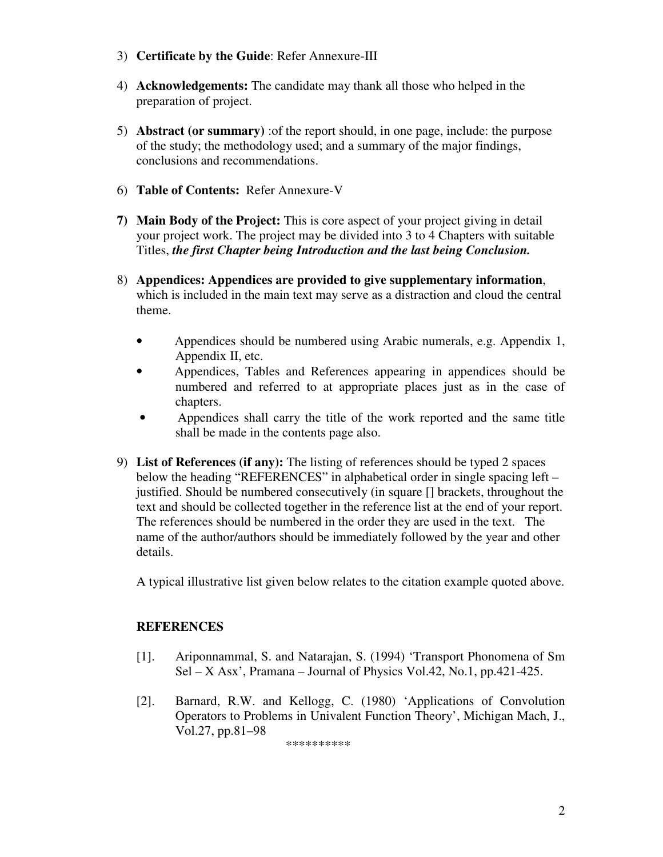- 3) **Certificate by the Guide**: Refer Annexure-III
- 4) **Acknowledgements:** The candidate may thank all those who helped in the preparation of project.
- 5) **Abstract (or summary)** :of the report should, in one page, include: the purpose of the study; the methodology used; and a summary of the major findings, conclusions and recommendations.
- 6) **Table of Contents:** Refer Annexure-V
- **7) Main Body of the Project:** This is core aspect of your project giving in detail your project work. The project may be divided into 3 to 4 Chapters with suitable Titles, *the first Chapter being Introduction and the last being Conclusion.*
- 8) **Appendices: Appendices are provided to give supplementary information**, which is included in the main text may serve as a distraction and cloud the central theme.
	- Appendices should be numbered using Arabic numerals, e.g. Appendix 1, Appendix II, etc.
	- Appendices, Tables and References appearing in appendices should be numbered and referred to at appropriate places just as in the case of chapters.
	- Appendices shall carry the title of the work reported and the same title shall be made in the contents page also.
- 9) **List of References (if any):** The listing of references should be typed 2 spaces below the heading "REFERENCES" in alphabetical order in single spacing left – justified. Should be numbered consecutively (in square [] brackets, throughout the text and should be collected together in the reference list at the end of your report. The references should be numbered in the order they are used in the text. The name of the author/authors should be immediately followed by the year and other details.

A typical illustrative list given below relates to the citation example quoted above.

#### **REFERENCES**

- [1]. Ariponnammal, S. and Natarajan, S. (1994) 'Transport Phonomena of Sm  $Sel - X$  Asx', Pramana – Journal of Physics Vol.42, No.1, pp.421-425.
- [2]. Barnard, R.W. and Kellogg, C. (1980) 'Applications of Convolution Operators to Problems in Univalent Function Theory', Michigan Mach, J., Vol.27, pp.81–98

\*\*\*\*\*\*\*\*\*\*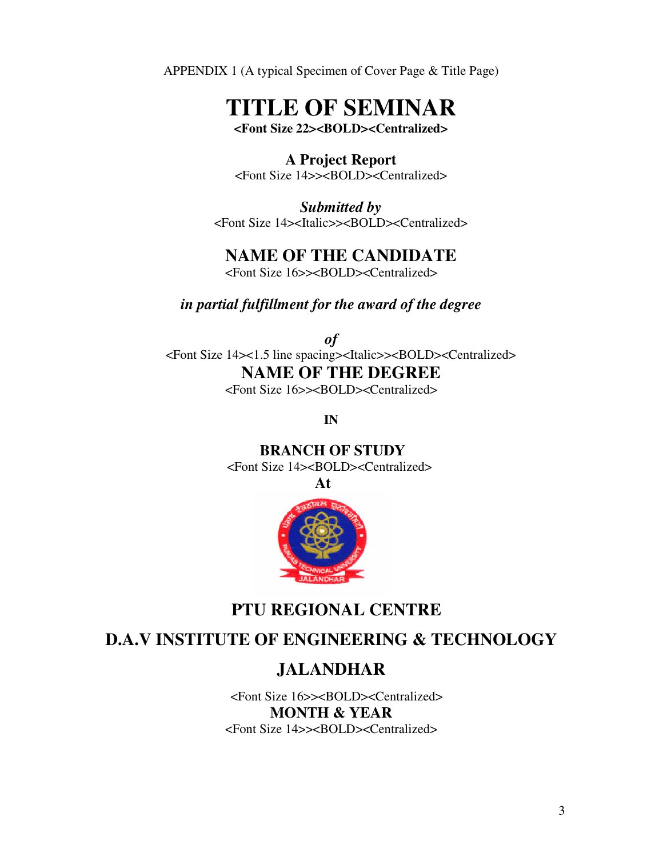APPENDIX 1 (A typical Specimen of Cover Page & Title Page)

# **TITLE OF SEMINAR**

**<Font Size 22><BOLD><Centralized>** 

### **A Project Report**

<Font Size 14>><BOLD><Centralized>

*Submitted by*  <Font Size 14><Italic>><BOLD><Centralized>

## **NAME OF THE CANDIDATE**

<Font Size 16>><BOLD><Centralized>

#### *in partial fulfillment for the award of the degree*

*of*  <Font Size 14><1.5 line spacing><Italic>><BOLD><Centralized> **NAME OF THE DEGREE** 

<Font Size 16>><BOLD><Centralized>

**IN** 

 **BRANCH OF STUDY**  <Font Size 14><BOLD><Centralized>

**At** 



# **PTU REGIONAL CENTRE**

# **D.A.V INSTITUTE OF ENGINEERING & TECHNOLOGY**

# **JALANDHAR**

 <Font Size 16>><BOLD><Centralized> **MONTH & YEAR**  <Font Size 14>><BOLD><Centralized>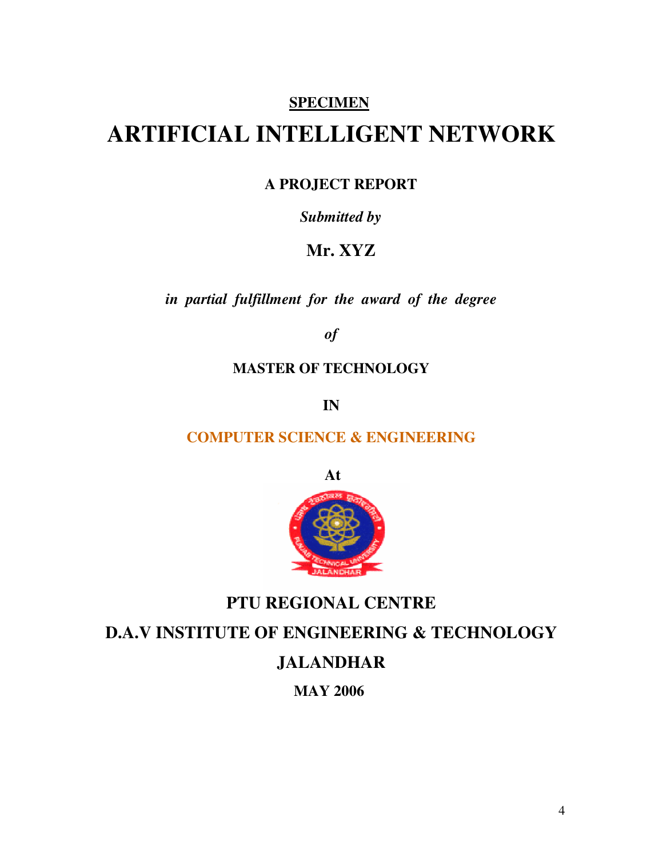### **SPECIMEN**

# **ARTIFICIAL INTELLIGENT NETWORK**

#### **A PROJECT REPORT**

#### *Submitted by*

## **Mr. XYZ**

*in partial fulfillment for the award of the degree* 

*of* 

#### **MASTER OF TECHNOLOGY**

**IN** 

## **COMPUTER SCIENCE & ENGINEERING**

**At** 



# **PTU REGIONAL CENTRE D.A.V INSTITUTE OF ENGINEERING & TECHNOLOGY JALANDHAR MAY 2006**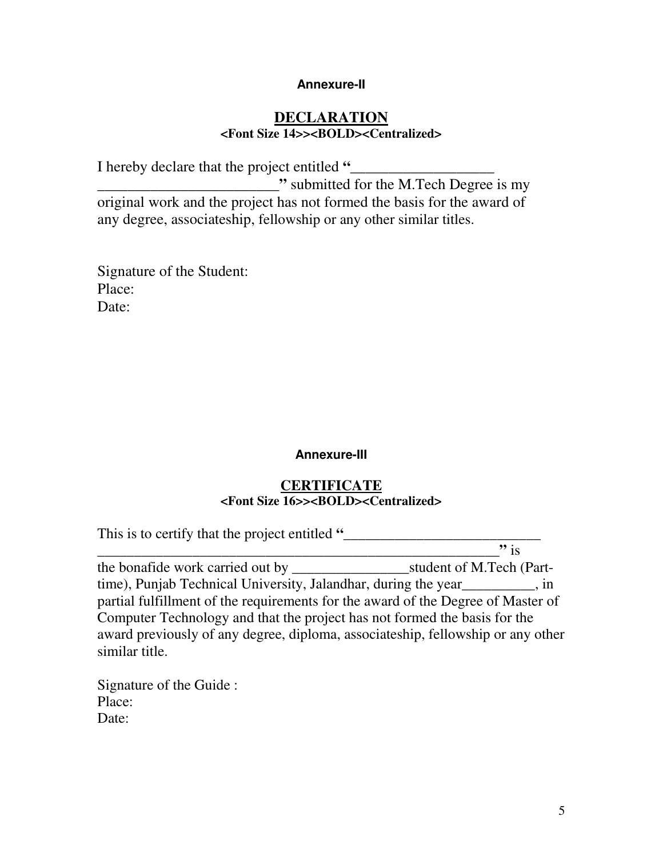#### **Annexure-II**

#### **DECLARATION <Font Size 14>><BOLD><Centralized>**

I hereby declare that the project entitled **"\_\_\_\_\_\_\_\_\_\_\_\_\_\_\_\_\_\_\_ \_\_\_\_\_\_\_\_\_\_\_\_\_\_\_\_\_\_\_\_\_\_\_\_"** submitted for the M.Tech Degree is my original work and the project has not formed the basis for the award of any degree, associateship, fellowship or any other similar titles.

Signature of the Student: Place: Date:

#### **Annexure-III**

#### **CERTIFICATE <Font Size 16>><BOLD><Centralized>**

This is to certify that the project entitled **"\_\_\_\_\_\_\_\_\_\_\_\_\_\_\_\_\_\_\_\_\_\_\_\_\_\_\_** 

**\_\_\_\_\_\_\_\_\_\_\_\_\_\_\_\_\_\_\_\_\_\_\_\_\_\_\_\_\_\_\_\_\_\_\_\_\_\_\_\_\_\_\_\_\_\_\_\_\_\_\_\_\_\_\_"** is the bonafide work carried out by *student* of M.Tech (Parttime), Punjab Technical University, Jalandhar, during the year\_\_\_\_\_\_\_\_\_\_, in partial fulfillment of the requirements for the award of the Degree of Master of Computer Technology and that the project has not formed the basis for the award previously of any degree, diploma, associateship, fellowship or any other similar title.

Signature of the Guide : Place: Date: